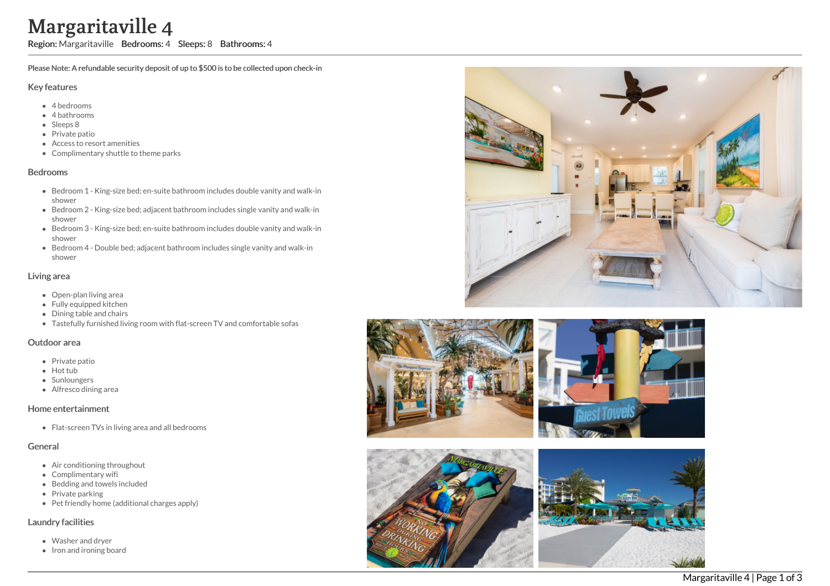# Margaritaville 4

Region: Margaritaville Bedrooms: 4 Sleeps: 8 Bathrooms: 4

Please Note: A refundable security deposit of up to \$500 is to be collected upon check-in

#### Key features

- 4 b e d r o o m s
- 4 bathrooms
- Sleeps 8
- Private patio
- Access to resort amenities
- Complimentary shuttle to theme parks

#### **Bedrooms**

- Bedroom 1 King-size bed; en-suite bathroom includes double vanity and walk-in s h o w e r
- Bedroom 2 King-size bed; adjacent bathroom includes single vanity and walk-in s h o w e r
- Bedroom 3 King-size bed; en-suite bathroom includes double vanity and walk-in s h o w e r
- Bedroom 4 Double bed; adjacent bathroom includes single vanity and walk-in s h o w e r

#### Living area

- Open-plan living area
- Fully equipped kitchen
- Dining table and chairs
- Tastefully furnished living room with flat-screen TV and comfortable sofas

#### Outdoor area

- Private patio
- Hot tub
- **Sunloungers**
- Alfresco dining area

#### Home entertainment

Flat-screen TVs in living area and all bedrooms

#### General

- Air conditioning throughout
- Complimentary wifi
- Bedding and towels in clu d e d
- Private parking
- Pet friendly home (additional charges apply)

#### Laundry facilities

- Washer and dryer
- Iron and ironing board







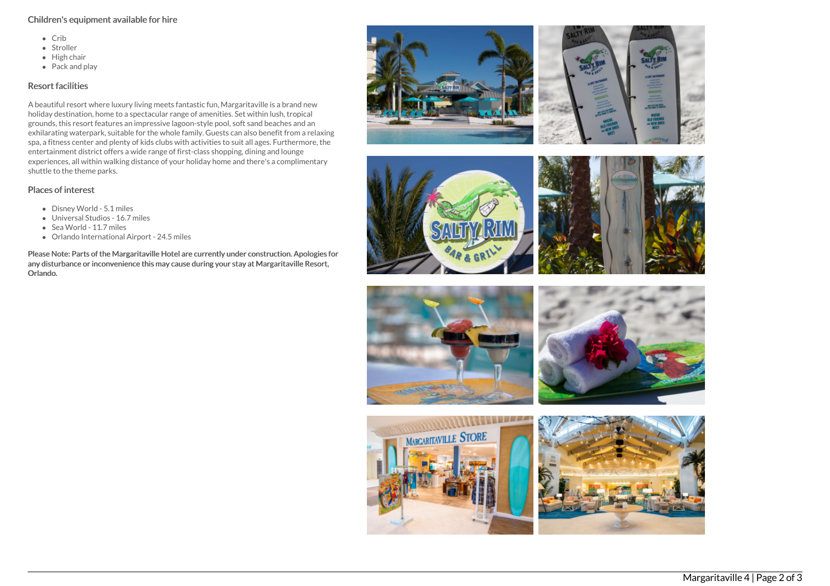#### Children's equipment available for hire

- $\bullet$  Crib
- Stroller
- $\bullet$  High chair
- Pack and play

### Resort facilities

A beautiful resort where luxury living meets fantastic fun, Margaritaville is a brand new holiday destination, home to a spectacular range of amenities. Set within lush, tropical grounds, this resort features an impressive lagoon-style pool, soft sand beaches and an exhilarating waterpark, suitable for the whole family. Guests can also benefit from a relaxing spa, a fitness center and plenty of kids clubs with activities to suit all ages. Furthermore, the entertainment district offers a wide range of first-class shopping, dining and lounge experiences, all within walking distance of your holiday home and there's a complimentary shuttle to the theme parks.

## Places of interest

- Disney World 5.1 miles
- Universal Studios 16.7 miles
- Sea World 11.7 miles
- Orlando International Airport 24.5 miles

Please Note: Parts of the Margaritaville Hotel are currently under construction. Apologies for any disturbance or inconvenience this may cause during your stay at Margaritaville Resort, Orlando.